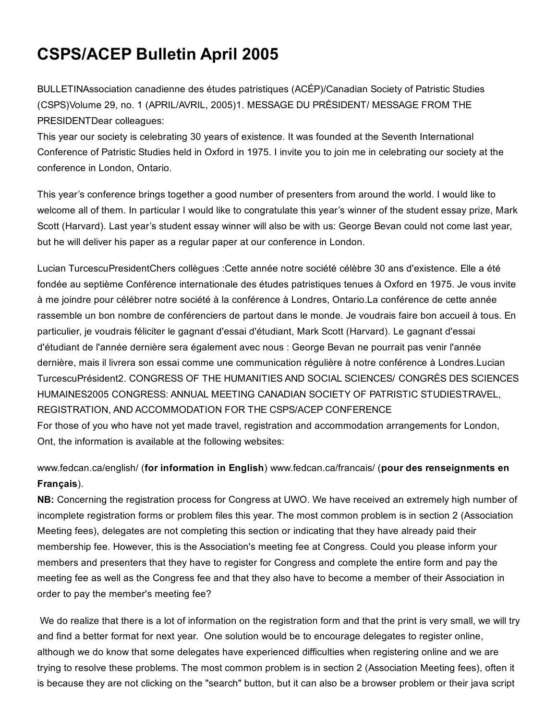# CSPS/ACEP Bulletin April 2005

BULLETINAssociation canadienne des études patristiques (ACÉP)/Canadian Society of Patristic Studies (CSPS)Volume 29, no. 1 (APRIL/AVRIL, 2005)1. MESSAGE DU PRÉSIDENT/ MESSAGE FROM THE PRESIDENTDear colleagues:

This year our society is celebrating 30 years of existence. It was founded at the Seventh International Conference of Patristic Studies held in Oxford in 1975. I invite you to join me in celebrating our society at the conference in London, Ontario.

This year's conference brings together a good number of presenters from around the world. I would like to welcome all of them. In particular I would like to congratulate this year's winner of the student essay prize, Mark Scott (Harvard). Last year's student essay winner will also be with us: George Bevan could not come last year, but he will deliver his paper as a regular paper at our conference in London.

Lucian TurcescuPresidentChers collègues :Cette année notre société célèbre 30 ans d'existence. Elle a été fondée au septième Conférence internationale des études patristiques tenues à Oxford en 1975. Je vous invite à me joindre pour célébrer notre société à la conférence à Londres, Ontario.La conférence de cette année rassemble un bon nombre de conférenciers de partout dans le monde. Je voudrais faire bon accueil à tous. En particulier, je voudrais féliciter le gagnant d'essai d'étudiant, Mark Scott (Harvard). Le gagnant d'essai d'étudiant de l'année dernière sera également avec nous : George Bevan ne pourrait pas venir l'année dernière, mais il livrera son essai comme une communication régulière à notre conférence à Londres.Lucian TurcescuPrésident2. CONGRESS OF THE HUMANITIES AND SOCIAL SCIENCES/ CONGRÈS DES SCIENCES HUMAINES2005 CONGRESS: ANNUAL MEETING CANADIAN SOCIETY OF PATRISTIC STUDIESTRAVEL, REGISTRATION, AND ACCOMMODATION FOR THE CSPS/ACEP CONFERENCE For those of you who have not yet made travel, registration and accommodation arrangements for London, Ont, the information is available at the following websites:

www.fedcan.ca/english/ (for information in English) www.fedcan.ca/francais/ (pour des renseignments en Français).

NB: Concerning the registration process for Congress at UWO. We have received an extremely high number of incomplete registration forms or problem files this year. The most common problem is in section 2 (Association Meeting fees), delegates are not completing this section or indicating that they have already paid their membership fee. However, this is the Association's meeting fee at Congress. Could you please inform your members and presenters that they have to register for Congress and complete the entire form and pay the meeting fee as well as the Congress fee and that they also have to become a member of their Association in order to pay the member's meeting fee?

We do realize that there is a lot of information on the registration form and that the print is very small, we will try and find a better format for next year. One solution would be to encourage delegates to register online, although we do know that some delegates have experienced difficulties when registering online and we are trying to resolve these problems. The most common problem is in section 2 (Association Meeting fees), often it is because they are not clicking on the "search" button, but it can also be a browser problem or their java script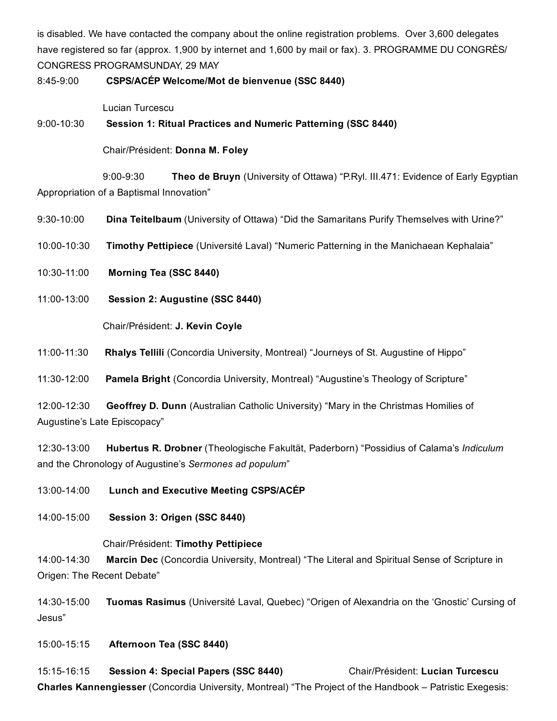is disabled. We have contacted the company about the online registration problems. Over 3,600 delegates have registered so far (approx. 1,900 by internet and 1,600 by mail or fax). 3. PROGRAMME DU CONGRÈS/ CONGRESS PROGRAMSUNDAY, 29 MAY

8:45-9:00 CSPS/ACÉP Welcome/Mot de bienvenue (SSC 8440)

Lucian Turcescu

9:00-10:30 Session 1: Ritual Practices and Numeric Patterning (SSC 8440)

Chair/Président: Donna M. Foley

9:00-9:30 Theo de Bruyn (University of Ottawa) "P.Ryl. III.471: Evidence of Early Egyptian Appropriation of a Baptismal Innovation"

- 9:30-10:00 **Dina Teitelbaum** (University of Ottawa) "Did the Samaritans Purify Themselves with Urine?"
- 10:0010:30 Timothy Pettipiece (Université Laval) "Numeric Patterning in the Manichaean Kephalaia"
- 10:3011:00 Morning Tea (SSC 8440)
- 11:0013:00 Session 2: Augustine (SSC 8440)

Chair/Président: J. Kevin Coyle

11:00-11:30 Rhalys Tellili (Concordia University, Montreal) "Journeys of St. Augustine of Hippo"

11:30-12:00 Pamela Bright (Concordia University, Montreal) "Augustine's Theology of Scripture"

12:00-12:30 Geoffrey D. Dunn (Australian Catholic University) "Mary in the Christmas Homilies of Augustine's Late Episcopacy"

12:3013:00 Hubertus R. Drobner (Theologische Fakultät, Paderborn) "Possidius of Calama's *Indiculum* and the Chronology of Augustine's *Sermones ad populum*"

- 13:00-14:00 Lunch and Executive Meeting CSPS/ACÉP
- 14:00-15:00 Session 3: Origen (SSC 8440)

#### Chair/Président: Timothy Pettipiece

14:00-14:30 Marcin Dec (Concordia University, Montreal) "The Literal and Spiritual Sense of Scripture in Origen: The Recent Debate"

14:30-15:00 Tuomas Rasimus (Université Laval, Quebec) "Origen of Alexandria on the 'Gnostic' Cursing of Jesus"

15:00-15:15 Afternoon Tea (SSC 8440)

15:1516:15 Session 4: Special Papers (SSC 8440) Chair/Président: Lucian Turcescu Charles Kannengiesser (Concordia University, Montreal) "The Project of the Handbook – Patristic Exegesis: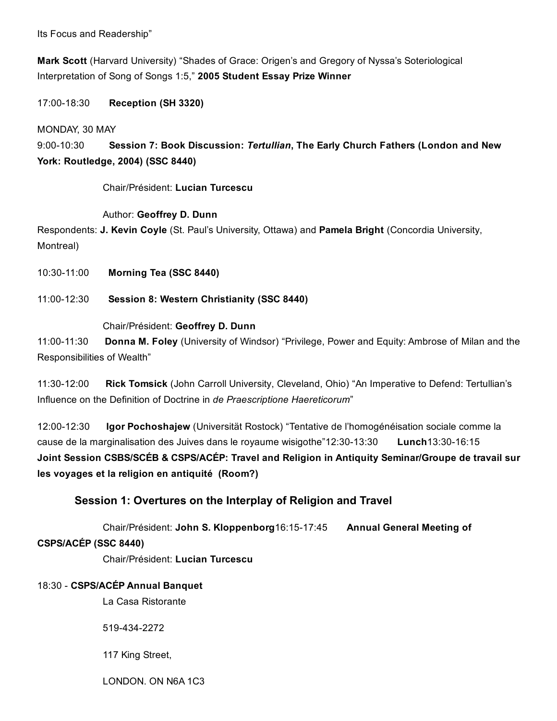Its Focus and Readership"

Mark Scott (Harvard University) "Shades of Grace: Origen's and Gregory of Nyssa's Soteriological Interpretation of Song of Songs 1:5," 2005 Student Essay Prize Winner

17:00-18:30 **Reception (SH 3320)** 

MONDAY, 30 MAY

9:00-10:30 Session 7: Book Discussion: *Tertullian*, The Early Church Fathers (London and New York: Routledge, 2004) (SSC 8440)

Chair/Président: Lucian Turcescu

Author: Geoffrey D. Dunn

Respondents: J. Kevin Coyle (St. Paul's University, Ottawa) and Pamela Bright (Concordia University, Montreal)

10:30-11:00 Morning Tea (SSC 8440)

11:00-12:30 Session 8: Western Christianity (SSC 8440)

#### Chair/Président: Geoffrey D. Dunn

11:00-11:30 Donna M. Foley (University of Windsor) "Privilege, Power and Equity: Ambrose of Milan and the Responsibilities of Wealth"

11:30-12:00 Rick Tomsick (John Carroll University, Cleveland, Ohio) "An Imperative to Defend: Tertullian's Influence on the Definition of Doctrine in *de Praescriptione Haereticorum*"

12:00-12:30 Igor Pochoshajew (Universität Rostock) "Tentative de l'homogénéisation sociale comme la cause de la marginalisation des Juives dans le royaume wisigothe  $12:30-13:30$  Lunch13:30-16:15 Joint Session CSBS/SCÉB & CSPS/ACÉP: Travel and Religion in Antiquity Seminar/Groupe de travail sur les voyages et la religion en antiquité (Room?)

## Session 1: Overtures on the Interplay of Religion and Travel

Chair/Président: John S. Kloppenborg16:15-17:45 Annual General Meeting of

#### CSPS/ACÉP (SSC 8440)

Chair/Président: Lucian Turcescu

#### 18:30 CSPS/ACÉP Annual Banquet

La Casa Ristorante

5194342272

117 King Street,

LONDON. ON N6A 1C3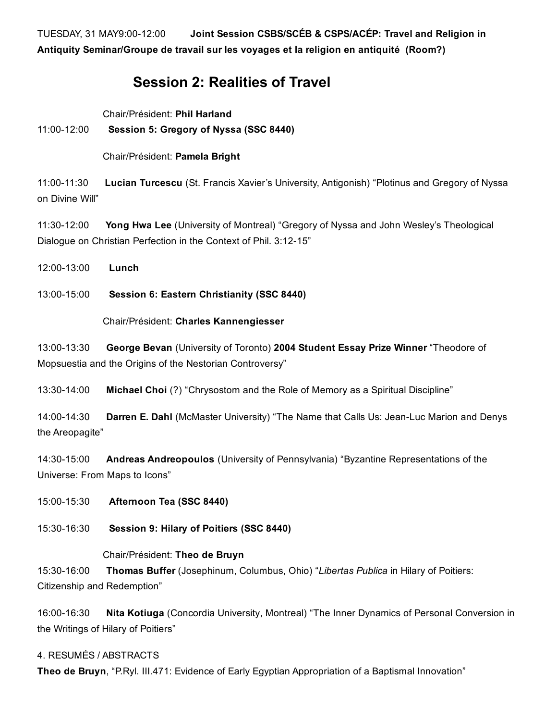TUESDAY, 31 MAY9:00-12:00 Joint Session CSBS/SCEB & CSPS/ACEP: Travel and Religion in Antiquity Seminar/Groupe de travail sur les voyages et la religion en antiquité (Room?)

## Session 2: Realities of Travel

Chair/Président: Phil Harland

### 11:0012:00 Session 5: Gregory of Nyssa (SSC 8440)

Chair/Président: Pamela Bright

11:00-11:30 Lucian Turcescu (St. Francis Xavier's University, Antigonish) "Plotinus and Gregory of Nyssa on Divine Will"

11:30-12:00 Yong Hwa Lee (University of Montreal) "Gregory of Nyssa and John Wesley's Theological Dialogue on Christian Perfection in the Context of Phil. 3:12-15"

12:00-13:00 **Lunch** 

13:00-15:00 Session 6: Eastern Christianity (SSC 8440)

Chair/Président: Charles Kannengiesser

13:00-13:30 George Bevan (University of Toronto) 2004 Student Essay Prize Winner "Theodore of Mopsuestia and the Origins of the Nestorian Controversy"

13:30-14:00 Michael Choi (?) "Chrysostom and the Role of Memory as a Spiritual Discipline"

14:00-14:30 Darren E. Dahl (McMaster University) "The Name that Calls Us: Jean-Luc Marion and Denys the Areopagite"

14:30-15:00 Andreas Andreopoulos (University of Pennsylvania) "Byzantine Representations of the Universe: From Maps to Icons"

15:00-15:30 **Afternoon Tea (SSC 8440)** 

15:3016:30 Session 9: Hilary of Poitiers (SSC 8440)

#### Chair/Président: Theo de Bruyn

15:30-16:00 Thomas Buffer (Josephinum, Columbus, Ohio) "Libertas Publica in Hilary of Poitiers: Citizenship and Redemption"

16:00-16:30 Nita Kotiuga (Concordia University, Montreal) "The Inner Dynamics of Personal Conversion in the Writings of Hilary of Poitiers"

#### 4. RESUMÉS / ABSTRACTS

Theo de Bruyn, "P.Ryl. III.471: Evidence of Early Egyptian Appropriation of a Baptismal Innovation"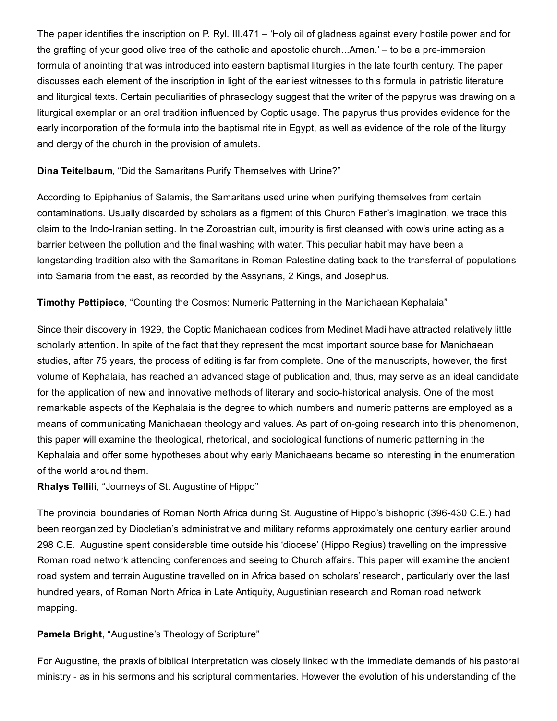The paper identifies the inscription on P. Ryl. III.471 – 'Holy oil of gladness against every hostile power and for the grafting of your good olive tree of the catholic and apostolic church...Amen.' – to be a pre-immersion formula of anointing that was introduced into eastern baptismal liturgies in the late fourth century. The paper discusses each element of the inscription in light of the earliest witnesses to this formula in patristic literature and liturgical texts. Certain peculiarities of phraseology suggest that the writer of the papyrus was drawing on a liturgical exemplar or an oral tradition influenced by Coptic usage. The papyrus thus provides evidence for the early incorporation of the formula into the baptismal rite in Egypt, as well as evidence of the role of the liturgy and clergy of the church in the provision of amulets.

#### Dina Teitelbaum, "Did the Samaritans Purify Themselves with Urine?"

According to Epiphanius of Salamis, the Samaritans used urine when purifying themselves from certain contaminations. Usually discarded by scholars as a figment of this Church Father's imagination, we trace this claim to the Indo-Iranian setting. In the Zoroastrian cult, impurity is first cleansed with cow's urine acting as a barrier between the pollution and the final washing with water. This peculiar habit may have been a longstanding tradition also with the Samaritans in Roman Palestine dating back to the transferral of populations into Samaria from the east, as recorded by the Assyrians, 2 Kings, and Josephus.

Timothy Pettipiece, "Counting the Cosmos: Numeric Patterning in the Manichaean Kephalaia"

Since their discovery in 1929, the Coptic Manichaean codices from Medinet Madi have attracted relatively little scholarly attention. In spite of the fact that they represent the most important source base for Manichaean studies, after 75 years, the process of editing is far from complete. One of the manuscripts, however, the first volume of Kephalaia, has reached an advanced stage of publication and, thus, may serve as an ideal candidate for the application of new and innovative methods of literary and socio-historical analysis. One of the most remarkable aspects of the Kephalaia is the degree to which numbers and numeric patterns are employed as a means of communicating Manichaean theology and values. As part of on-going research into this phenomenon, this paper will examine the theological, rhetorical, and sociological functions of numeric patterning in the Kephalaia and offer some hypotheses about why early Manichaeans became so interesting in the enumeration of the world around them.

Rhalys Tellili, "Journeys of St. Augustine of Hippo"

The provincial boundaries of Roman North Africa during St. Augustine of Hippo's bishopric (396430 C.E.) had been reorganized by Diocletian's administrative and military reforms approximately one century earlier around 298 C.E. Augustine spent considerable time outside his 'diocese' (Hippo Regius) travelling on the impressive Roman road network attending conferences and seeing to Church affairs. This paper will examine the ancient road system and terrain Augustine travelled on in Africa based on scholars' research, particularly over the last hundred years, of Roman North Africa in Late Antiquity, Augustinian research and Roman road network mapping.

Pamela Bright, "Augustine's Theology of Scripture"

For Augustine, the praxis of biblical interpretation was closely linked with the immediate demands of his pastoral ministry as in his sermons and his scriptural commentaries. However the evolution of his understanding of the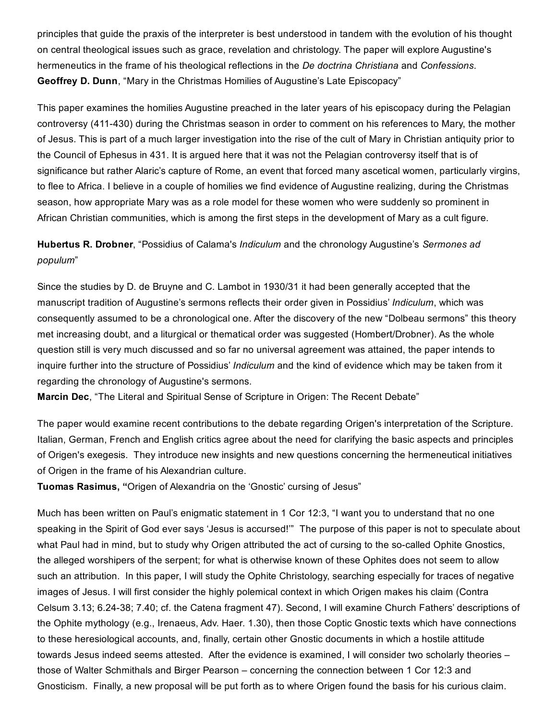principles that guide the praxis of the interpreter is best understood in tandem with the evolution of his thought on central theological issues such as grace, revelation and christology. The paper will explore Augustine's hermeneutics in the frame of his theological reflections in the *De doctrina Christiana* and *Confessions*. Geoffrey D. Dunn, "Mary in the Christmas Homilies of Augustine's Late Episcopacy"

This paper examines the homilies Augustine preached in the later years of his episcopacy during the Pelagian controversy (411430) during the Christmas season in order to comment on his references to Mary, the mother of Jesus. This is part of a much larger investigation into the rise of the cult of Mary in Christian antiquity prior to the Council of Ephesus in 431. It is argued here that it was not the Pelagian controversy itself that is of significance but rather Alaric's capture of Rome, an event that forced many ascetical women, particularly virgins, to flee to Africa. I believe in a couple of homilies we find evidence of Augustine realizing, during the Christmas season, how appropriate Mary was as a role model for these women who were suddenly so prominent in African Christian communities, which is among the first steps in the development of Mary as a cult figure.

Hubertus R. Drobner, "Possidius of Calama's *Indiculum* and the chronology Augustine's *Sermones ad populum*"

Since the studies by D. de Bruyne and C. Lambot in 1930/31 it had been generally accepted that the manuscript tradition of Augustine's sermons reflects their order given in Possidius' *Indiculum*, which was consequently assumed to be a chronological one. After the discovery of the new "Dolbeau sermons" this theory met increasing doubt, and a liturgical or thematical order was suggested (Hombert/Drobner). As the whole question still is very much discussed and so far no universal agreement was attained, the paper intends to inquire further into the structure of Possidius' *Indiculum* and the kind of evidence which may be taken from it regarding the chronology of Augustine's sermons.

Marcin Dec, "The Literal and Spiritual Sense of Scripture in Origen: The Recent Debate"

The paper would examine recent contributions to the debate regarding Origen's interpretation of the Scripture. Italian, German, French and English critics agree about the need for clarifying the basic aspects and principles of Origen's exegesis. They introduce new insights and new questions concerning the hermeneutical initiatives of Origen in the frame of his Alexandrian culture.

Tuomas Rasimus, "Origen of Alexandria on the 'Gnostic' cursing of Jesus"

Much has been written on Paul's enigmatic statement in 1 Cor 12:3, "I want you to understand that no one speaking in the Spirit of God ever says 'Jesus is accursed!" The purpose of this paper is not to speculate about what Paul had in mind, but to study why Origen attributed the act of cursing to the so-called Ophite Gnostics, the alleged worshipers of the serpent; for what is otherwise known of these Ophites does not seem to allow such an attribution. In this paper, I will study the Ophite Christology, searching especially for traces of negative images of Jesus. I will first consider the highly polemical context in which Origen makes his claim (Contra Celsum 3.13; 6.2438; 7.40; cf. the Catena fragment 47). Second, I will examine Church Fathers' descriptions of the Ophite mythology (e.g., Irenaeus, Adv. Haer. 1.30), then those Coptic Gnostic texts which have connections to these heresiological accounts, and, finally, certain other Gnostic documents in which a hostile attitude towards Jesus indeed seems attested. After the evidence is examined, I will consider two scholarly theories – those of Walter Schmithals and Birger Pearson – concerning the connection between 1 Cor 12:3 and Gnosticism. Finally, a new proposal will be put forth as to where Origen found the basis for his curious claim.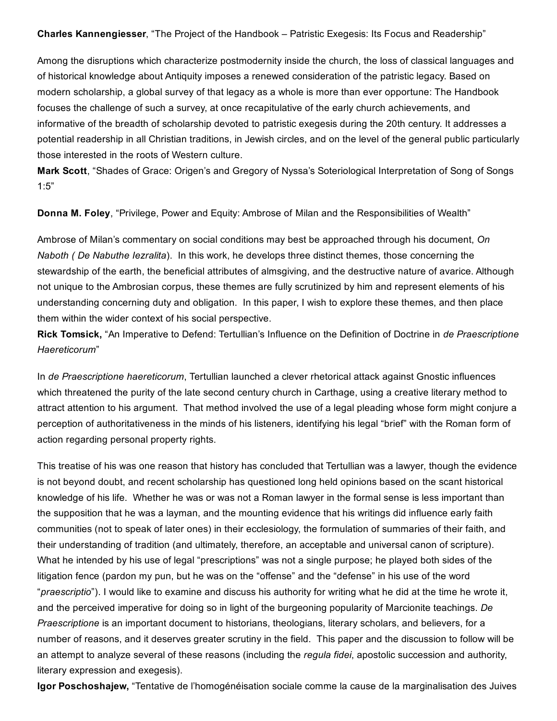Charles Kannengiesser, "The Project of the Handbook – Patristic Exegesis: Its Focus and Readership"

Among the disruptions which characterize postmodernity inside the church, the loss of classical languages and of historical knowledge about Antiquity imposes a renewed consideration of the patristic legacy. Based on modern scholarship, a global survey of that legacy as a whole is more than ever opportune: The Handbook focuses the challenge of such a survey, at once recapitulative of the early church achievements, and informative of the breadth of scholarship devoted to patristic exegesis during the 20th century. It addresses a potential readership in all Christian traditions, in Jewish circles, and on the level of the general public particularly those interested in the roots of Western culture.

Mark Scott, "Shades of Grace: Origen's and Gregory of Nyssa's Soteriological Interpretation of Song of Songs 1:5"

Donna M. Foley, "Privilege, Power and Equity: Ambrose of Milan and the Responsibilities of Wealth"

Ambrose of Milan's commentary on social conditions may best be approached through his document, *On Naboth ( De Nabuthe Iezralita*). In this work, he develops three distinct themes, those concerning the stewardship of the earth, the beneficial attributes of almsgiving, and the destructive nature of avarice. Although not unique to the Ambrosian corpus, these themes are fully scrutinized by him and represent elements of his understanding concerning duty and obligation. In this paper, I wish to explore these themes, and then place them within the wider context of his social perspective.

Rick Tomsick, "An Imperative to Defend: Tertullian's Influence on the Definition of Doctrine in *de Praescriptione Haereticorum*"

In *de Praescriptione haereticorum*, Tertullian launched a clever rhetorical attack against Gnostic influences which threatened the purity of the late second century church in Carthage, using a creative literary method to attract attention to his argument. That method involved the use of a legal pleading whose form might conjure a perception of authoritativeness in the minds of his listeners, identifying his legal "brief" with the Roman form of action regarding personal property rights.

This treatise of his was one reason that history has concluded that Tertullian was a lawyer, though the evidence is not beyond doubt, and recent scholarship has questioned long held opinions based on the scant historical knowledge of his life. Whether he was or was not a Roman lawyer in the formal sense is less important than the supposition that he was a layman, and the mounting evidence that his writings did influence early faith communities (not to speak of later ones) in their ecclesiology, the formulation of summaries of their faith, and their understanding of tradition (and ultimately, therefore, an acceptable and universal canon of scripture). What he intended by his use of legal "prescriptions" was not a single purpose; he played both sides of the litigation fence (pardon my pun, but he was on the "offense" and the "defense" in his use of the word "*praescriptio*"). I would like to examine and discuss his authority for writing what he did at the time he wrote it, and the perceived imperative for doing so in light of the burgeoning popularity of Marcionite teachings. *De Praescriptione* is an important document to historians, theologians, literary scholars, and believers, for a number of reasons, and it deserves greater scrutiny in the field. This paper and the discussion to follow will be an attempt to analyze several of these reasons (including the *regula fidei*, apostolic succession and authority, literary expression and exegesis).

Igor Poschoshajew, "Tentative de l'homogénéisation sociale comme la cause de la marginalisation des Juives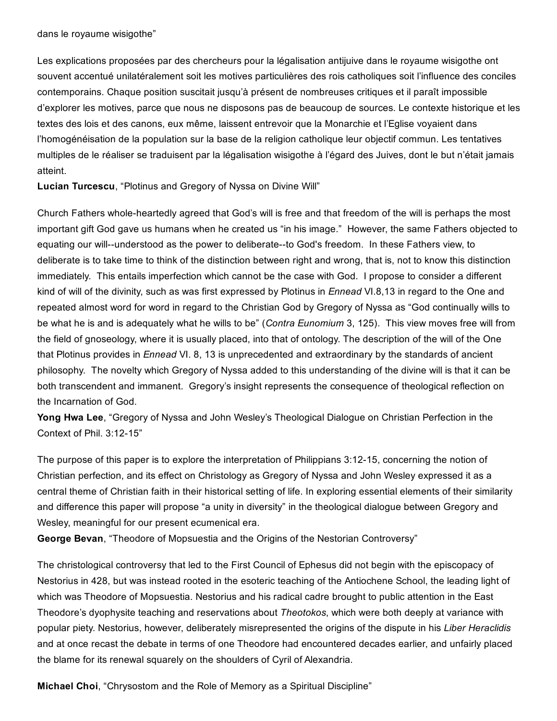dans le royaume wisigothe"

Les explications proposées par des chercheurs pour la légalisation antijuive dans le royaume wisigothe ont souvent accentué unilatéralement soit les motives particulières des rois catholiques soit l'influence des conciles contemporains. Chaque position suscitait jusqu'à présent de nombreuses critiques et il paraît impossible d'explorer les motives, parce que nous ne disposons pas de beaucoup de sources. Le contexte historique et les textes des lois et des canons, eux même, laissent entrevoir que la Monarchie et l'Eglise voyaient dans l'homogénéisation de la population sur la base de la religion catholique leur objectif commun. Les tentatives multiples de le réaliser se traduisent par la légalisation wisigothe à l'égard des Juives, dont le but n'était jamais atteint.

Lucian Turcescu, "Plotinus and Gregory of Nyssa on Divine Will"

Church Fathers whole-heartedly agreed that God's will is free and that freedom of the will is perhaps the most important gift God gave us humans when he created us "in his image." However, the same Fathers objected to equating our will--understood as the power to deliberate--to God's freedom. In these Fathers view, to deliberate is to take time to think of the distinction between right and wrong, that is, not to know this distinction immediately. This entails imperfection which cannot be the case with God. I propose to consider a different kind of will of the divinity, such as was first expressed by Plotinus in *Ennead* VI.8,13 in regard to the One and repeated almost word for word in regard to the Christian God by Gregory of Nyssa as "God continually wills to be what he is and is adequately what he wills to be" (*Contra Eunomium* 3, 125). This view moves free will from the field of gnoseology, where it is usually placed, into that of ontology. The description of the will of the One that Plotinus provides in *Ennead* VI. 8, 13 is unprecedented and extraordinary by the standards of ancient philosophy. The novelty which Gregory of Nyssa added to this understanding of the divine will is that it can be both transcendent and immanent. Gregory's insight represents the consequence of theological reflection on the Incarnation of God.

Yong Hwa Lee, "Gregory of Nyssa and John Wesley's Theological Dialogue on Christian Perfection in the Context of Phil. 3:12-15"

The purpose of this paper is to explore the interpretation of Philippians 3:12-15, concerning the notion of Christian perfection, and its effect on Christology as Gregory of Nyssa and John Wesley expressed it as a central theme of Christian faith in their historical setting of life. In exploring essential elements of their similarity and difference this paper will propose "a unity in diversity" in the theological dialogue between Gregory and Wesley, meaningful for our present ecumenical era.

George Bevan, "Theodore of Mopsuestia and the Origins of the Nestorian Controversy"

The christological controversy that led to the First Council of Ephesus did not begin with the episcopacy of Nestorius in 428, but was instead rooted in the esoteric teaching of the Antiochene School, the leading light of which was Theodore of Mopsuestia. Nestorius and his radical cadre brought to public attention in the East Theodore's dyophysite teaching and reservations about *Theotokos*, which were both deeply at variance with popular piety. Nestorius, however, deliberately misrepresented the origins of the dispute in his *Liber Heraclidis* and at once recast the debate in terms of one Theodore had encountered decades earlier, and unfairly placed the blame for its renewal squarely on the shoulders of Cyril of Alexandria.

Michael Choi, "Chrysostom and the Role of Memory as a Spiritual Discipline"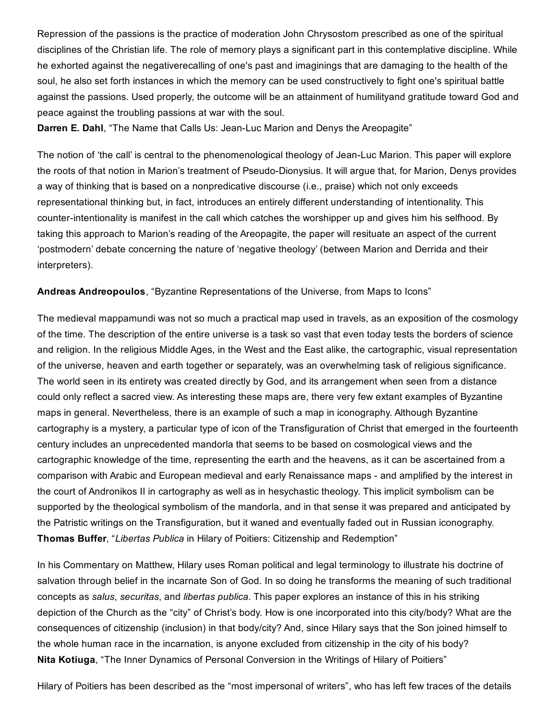Repression of the passions is the practice of moderation John Chrysostom prescribed as one of the spiritual disciplines of the Christian life. The role of memory plays a significant part in this contemplative discipline. While he exhorted against the negativerecalling of one's past and imaginings that are damaging to the health of the soul, he also set forth instances in which the memory can be used constructively to fight one's spiritual battle against the passions. Used properly, the outcome will be an attainment of humilityand gratitude toward God and peace against the troubling passions at war with the soul.

**Darren E. Dahl**, "The Name that Calls Us: Jean-Luc Marion and Denys the Areopagite"

The notion of 'the call' is central to the phenomenological theology of Jean-Luc Marion. This paper will explore the roots of that notion in Marion's treatment of Pseudo-Dionysius. It will argue that, for Marion, Denys provides a way of thinking that is based on a nonpredicative discourse (i.e., praise) which not only exceeds representational thinking but, in fact, introduces an entirely different understanding of intentionality. This counterintentionality is manifest in the call which catches the worshipper up and gives him his selfhood. By taking this approach to Marion's reading of the Areopagite, the paper will resituate an aspect of the current 'postmodern' debate concerning the nature of 'negative theology' (between Marion and Derrida and their interpreters).

Andreas Andreopoulos, "Byzantine Representations of the Universe, from Maps to Icons"

The medieval mappamundi was not so much a practical map used in travels, as an exposition of the cosmology of the time. The description of the entire universe is a task so vast that even today tests the borders of science and religion. In the religious Middle Ages, in the West and the East alike, the cartographic, visual representation of the universe, heaven and earth together or separately, was an overwhelming task of religious significance. The world seen in its entirety was created directly by God, and its arrangement when seen from a distance could only reflect a sacred view. As interesting these maps are, there very few extant examples of Byzantine maps in general. Nevertheless, there is an example of such a map in iconography. Although Byzantine cartography is a mystery, a particular type of icon of the Transfiguration of Christ that emerged in the fourteenth century includes an unprecedented mandorla that seems to be based on cosmological views and the cartographic knowledge of the time, representing the earth and the heavens, as it can be ascertained from a comparison with Arabic and European medieval and early Renaissance maps - and amplified by the interest in the court of Andronikos II in cartography as well as in hesychastic theology. This implicit symbolism can be supported by the theological symbolism of the mandorla, and in that sense it was prepared and anticipated by the Patristic writings on the Transfiguration, but it waned and eventually faded out in Russian iconography. Thomas Buffer, "*Libertas Publica* in Hilary of Poitiers: Citizenship and Redemption"

In his Commentary on Matthew, Hilary uses Roman political and legal terminology to illustrate his doctrine of salvation through belief in the incarnate Son of God. In so doing he transforms the meaning of such traditional concepts as *salus*, *securitas*, and *libertas publica*. This paper explores an instance of this in his striking depiction of the Church as the "city" of Christ's body. How is one incorporated into this city/body? What are the consequences of citizenship (inclusion) in that body/city? And, since Hilary says that the Son joined himself to the whole human race in the incarnation, is anyone excluded from citizenship in the city of his body? Nita Kotiuga, "The Inner Dynamics of Personal Conversion in the Writings of Hilary of Poitiers"

Hilary of Poitiers has been described as the "most impersonal of writers", who has left few traces of the details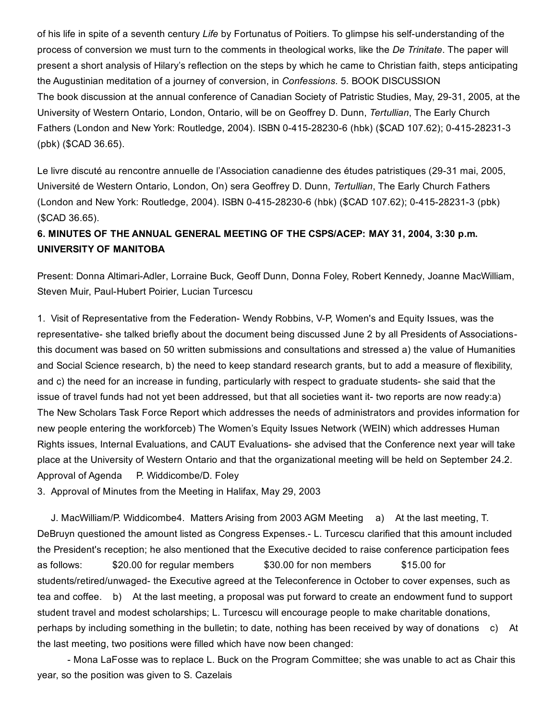of his life in spite of a seventh century *Life* by Fortunatus of Poitiers. To glimpse his selfunderstanding of the process of conversion we must turn to the comments in theological works, like the *De Trinitate*. The paper will present a short analysis of Hilary's reflection on the steps by which he came to Christian faith, steps anticipating the Augustinian meditation of a journey of conversion, in *Confessions*. 5. BOOK DISCUSSION The book discussion at the annual conference of Canadian Society of Patristic Studies, May, 2931, 2005, at the University of Western Ontario, London, Ontario, will be on Geoffrey D. Dunn, *Tertullian*, The Early Church Fathers (London and New York: Routledge, 2004). ISBN 0-415-28230-6 (hbk) (\$CAD 107.62); 0-415-28231-3 (pbk) (\$CAD 36.65).

Le livre discuté au rencontre annuelle de l'Association canadienne des études patristiques (29-31 mai, 2005, Université de Western Ontario, London, On) sera Geoffrey D. Dunn, *Tertullian*, The Early Church Fathers (London and New York: Routledge, 2004). ISBN 0-415-28230-6 (hbk) (\$CAD 107.62); 0-415-28231-3 (pbk) (\$CAD 36.65).

## 6. MINUTES OF THE ANNUAL GENERAL MEETING OF THE CSPS/ACEP: MAY 31, 2004, 3:30 p.m. UNIVERSITY OF MANITOBA

Present: Donna Altimari-Adler, Lorraine Buck, Geoff Dunn, Donna Foley, Robert Kennedy, Joanne MacWilliam, Steven Muir, Paul-Hubert Poirier, Lucian Turcescu

1. Visit of Representative from the Federation- Wendy Robbins, V-P, Women's and Equity Issues, was the representative- she talked briefly about the document being discussed June 2 by all Presidents of Associationsthis document was based on 50 written submissions and consultations and stressed a) the value of Humanities and Social Science research, b) the need to keep standard research grants, but to add a measure of flexibility, and c) the need for an increase in funding, particularly with respect to graduate students- she said that the issue of travel funds had not yet been addressed, but that all societies want it- two reports are now ready:a) The New Scholars Task Force Report which addresses the needs of administrators and provides information for new people entering the workforceb) The Women's Equity Issues Network (WEIN) which addresses Human Rights issues, Internal Evaluations, and CAUT Evaluations- she advised that the Conference next year will take place at the University of Western Ontario and that the organizational meeting will be held on September 24.2. Approval of Agenda P. Widdicombe/D. Foley

3. Approval of Minutes from the Meeting in Halifax, May 29, 2003

J. MacWilliam/P. Widdicombe4. Matters Arising from 2003 AGM Meeting a) At the last meeting, T. DeBruyn questioned the amount listed as Congress Expenses. L. Turcescu clarified that this amount included the President's reception; he also mentioned that the Executive decided to raise conference participation fees as follows: \$20.00 for regular members \$30.00 for non members \$15.00 for students/retired/unwaged- the Executive agreed at the Teleconference in October to cover expenses, such as tea and coffee. b) At the last meeting, a proposal was put forward to create an endowment fund to support student travel and modest scholarships; L. Turcescu will encourage people to make charitable donations, perhaps by including something in the bulletin; to date, nothing has been received by way of donations c) At the last meeting, two positions were filled which have now been changed:

 Mona LaFosse was to replace L. Buck on the Program Committee; she was unable to act as Chair this year, so the position was given to S. Cazelais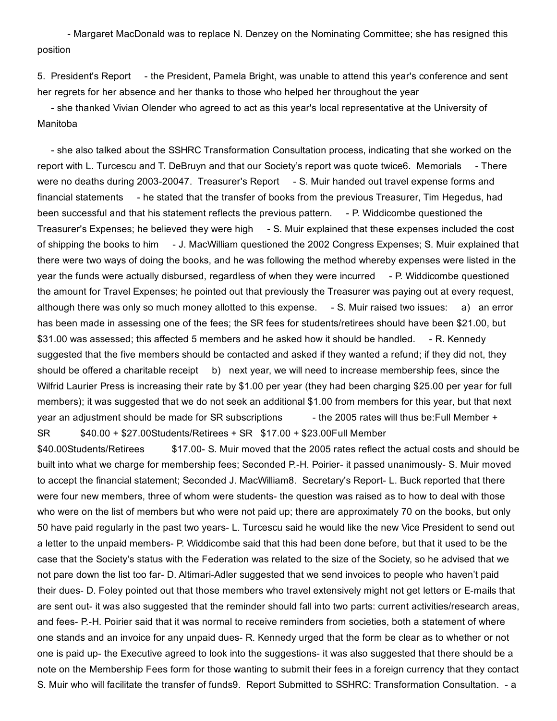Margaret MacDonald was to replace N. Denzey on the Nominating Committee; she has resigned this position

5. President's Report - the President, Pamela Bright, was unable to attend this year's conference and sent her regrets for her absence and her thanks to those who helped her throughout the year

 she thanked Vivian Olender who agreed to act as this year's local representative at the University of Manitoba

 she also talked about the SSHRC Transformation Consultation process, indicating that she worked on the report with L. Turcescu and T. DeBruyn and that our Society's report was quote twice6. Memorials - There were no deaths during 2003-20047. Treasurer's Report - S. Muir handed out travel expense forms and financial statements - he stated that the transfer of books from the previous Treasurer, Tim Hegedus, had been successful and that his statement reflects the previous pattern. - P. Widdicombe questioned the Treasurer's Expenses; he believed they were high - S. Muir explained that these expenses included the cost of shipping the books to him - J. MacWilliam questioned the 2002 Congress Expenses; S. Muir explained that there were two ways of doing the books, and he was following the method whereby expenses were listed in the year the funds were actually disbursed, regardless of when they were incurred - P. Widdicombe questioned the amount for Travel Expenses; he pointed out that previously the Treasurer was paying out at every request, although there was only so much money allotted to this expense. - S. Muir raised two issues: a) an error has been made in assessing one of the fees; the SR fees for students/retirees should have been \$21.00, but \$31.00 was assessed; this affected 5 members and he asked how it should be handled. - R. Kennedy suggested that the five members should be contacted and asked if they wanted a refund; if they did not, they should be offered a charitable receipt b) next year, we will need to increase membership fees, since the Wilfrid Laurier Press is increasing their rate by \$1.00 per year (they had been charging \$25.00 per year for full members); it was suggested that we do not seek an additional \$1.00 from members for this year, but that next year an adjustment should be made for SR subscriptions  $t$  - the 2005 rates will thus be:Full Member + SR \$40.00 + \$27.00Students/Retirees + SR \$17.00 + \$23.00Full Member

\$40.00Students/Retirees \$17.00 S. Muir moved that the 2005 rates reflect the actual costs and should be built into what we charge for membership fees; Seconded P.-H. Poirier- it passed unanimously- S. Muir moved to accept the financial statement; Seconded J. MacWilliam8. Secretary's Report- L. Buck reported that there were four new members, three of whom were students- the question was raised as to how to deal with those who were on the list of members but who were not paid up; there are approximately 70 on the books, but only 50 have paid regularly in the past two years L. Turcescu said he would like the new Vice President to send out a letter to the unpaid members- P. Widdicombe said that this had been done before, but that it used to be the case that the Society's status with the Federation was related to the size of the Society, so he advised that we not pare down the list too far- D. Altimari-Adler suggested that we send invoices to people who haven't paid their dues- D. Foley pointed out that those members who travel extensively might not get letters or E-mails that are sent out- it was also suggested that the reminder should fall into two parts: current activities/research areas, and fees- P.-H. Poirier said that it was normal to receive reminders from societies, both a statement of where one stands and an invoice for any unpaid dues- R. Kennedy urged that the form be clear as to whether or not one is paid up- the Executive agreed to look into the suggestions- it was also suggested that there should be a note on the Membership Fees form for those wanting to submit their fees in a foreign currency that they contact S. Muir who will facilitate the transfer of funds9. Report Submitted to SSHRC: Transformation Consultation. - a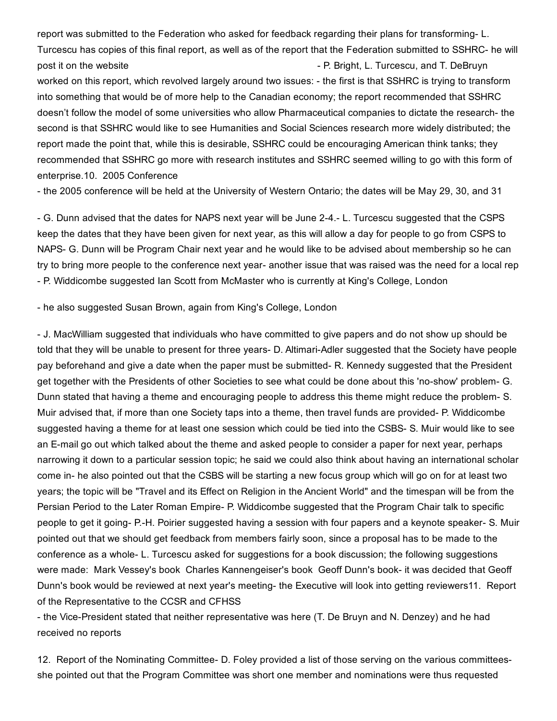report was submitted to the Federation who asked for feedback regarding their plans for transforming-L. Turcescu has copies of this final report, as well as of the report that the Federation submitted to SSHRC- he will post it on the website P. Bright, L. Turcescu, and T. DeBruyn worked on this report, which revolved largely around two issues: the first is that SSHRC is trying to transform into something that would be of more help to the Canadian economy; the report recommended that SSHRC doesn't follow the model of some universities who allow Pharmaceutical companies to dictate the research the second is that SSHRC would like to see Humanities and Social Sciences research more widely distributed; the report made the point that, while this is desirable, SSHRC could be encouraging American think tanks; they recommended that SSHRC go more with research institutes and SSHRC seemed willing to go with this form of enterprise.10. 2005 Conference

- the 2005 conference will be held at the University of Western Ontario; the dates will be May 29, 30, and 31

 G. Dunn advised that the dates for NAPS next year will be June 24. L. Turcescu suggested that the CSPS keep the dates that they have been given for next year, as this will allow a day for people to go from CSPS to NAPS- G. Dunn will be Program Chair next year and he would like to be advised about membership so he can try to bring more people to the conference next year- another issue that was raised was the need for a local rep P. Widdicombe suggested Ian Scott from McMaster who is currently at King's College, London

he also suggested Susan Brown, again from King's College, London

 J. MacWilliam suggested that individuals who have committed to give papers and do not show up should be told that they will be unable to present for three years- D. Altimari-Adler suggested that the Society have people pay beforehand and give a date when the paper must be submitted- R. Kennedy suggested that the President get together with the Presidents of other Societies to see what could be done about this 'no-show' problem- G. Dunn stated that having a theme and encouraging people to address this theme might reduce the problem-S. Muir advised that, if more than one Society taps into a theme, then travel funds are provided- P. Widdicombe suggested having a theme for at least one session which could be tied into the CSBS-S. Muir would like to see an E-mail go out which talked about the theme and asked people to consider a paper for next year, perhaps narrowing it down to a particular session topic; he said we could also think about having an international scholar come in- he also pointed out that the CSBS will be starting a new focus group which will go on for at least two years; the topic will be "Travel and its Effect on Religion in the Ancient World" and the timespan will be from the Persian Period to the Later Roman Empire- P. Widdicombe suggested that the Program Chair talk to specific people to get it going- P.-H. Poirier suggested having a session with four papers and a keynote speaker- S. Muir pointed out that we should get feedback from members fairly soon, since a proposal has to be made to the conference as a whole-L. Turcescu asked for suggestions for a book discussion; the following suggestions were made: Mark Vessey's book Charles Kannengeiser's book Geoff Dunn's book- it was decided that Geoff Dunn's book would be reviewed at next year's meeting- the Executive will look into getting reviewers11. Report of the Representative to the CCSR and CFHSS

- the Vice-President stated that neither representative was here (T. De Bruyn and N. Denzey) and he had received no reports

12. Report of the Nominating Committee- D. Foley provided a list of those serving on the various committeesshe pointed out that the Program Committee was short one member and nominations were thus requested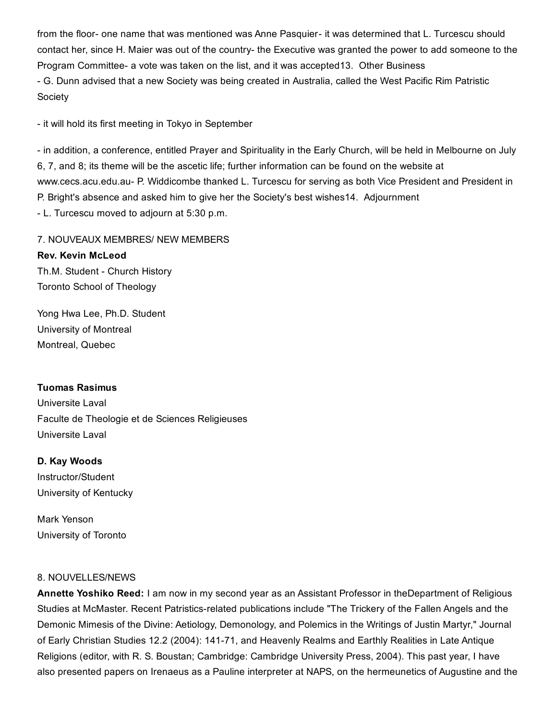from the floor- one name that was mentioned was Anne Pasquier- it was determined that L. Turcescu should contact her, since H. Maier was out of the country- the Executive was granted the power to add someone to the Program Committee a vote was taken on the list, and it was accepted13. Other Business

 G. Dunn advised that a new Society was being created in Australia, called the West Pacific Rim Patristic Society

- it will hold its first meeting in Tokyo in September

- in addition, a conference, entitled Prayer and Spirituality in the Early Church, will be held in Melbourne on July 6, 7, and 8; its theme will be the ascetic life; further information can be found on the website at www.cecs.acu.edu.au- P. Widdicombe thanked L. Turcescu for serving as both Vice President and President in P. Bright's absence and asked him to give her the Society's best wishes14. Adjournment L. Turcescu moved to adjourn at 5:30 p.m.

7. NOUVEAUX MEMBRES/ NEW MEMBERS Rev. Kevin McLeod Th.M. Student - Church History Toronto School of Theology

Yong Hwa Lee, Ph.D. Student University of Montreal Montreal, Quebec

#### Tuomas Rasimus

Universite Laval Faculte de Theologie et de Sciences Religieuses Universite Laval

#### D. Kay Woods

Instructor/Student University of Kentucky

Mark Yenson University of Toronto

#### 8. NOUVELLES/NEWS

Annette Yoshiko Reed: I am now in my second year as an Assistant Professor in theDepartment of Religious Studies at McMaster. Recent Patristics-related publications include "The Trickery of the Fallen Angels and the Demonic Mimesis of the Divine: Aetiology, Demonology, and Polemics in the Writings of Justin Martyr," Journal of Early Christian Studies 12.2 (2004): 14171, and Heavenly Realms and Earthly Realities in Late Antique Religions (editor, with R. S. Boustan; Cambridge: Cambridge University Press, 2004). This past year, I have also presented papers on Irenaeus as a Pauline interpreter at NAPS, on the hermeunetics of Augustine and the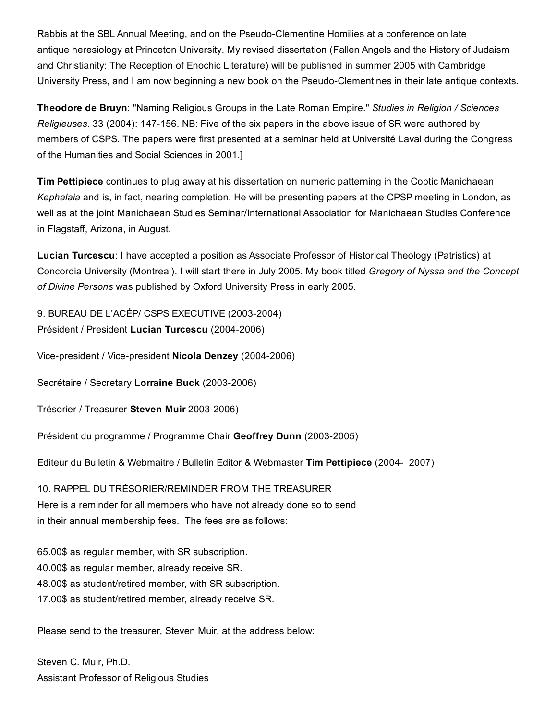Rabbis at the SBL Annual Meeting, and on the Pseudo-Clementine Homilies at a conference on late antique heresiology at Princeton University. My revised dissertation (Fallen Angels and the History of Judaism and Christianity: The Reception of Enochic Literature) will be published in summer 2005 with Cambridge University Press, and I am now beginning a new book on the Pseudo-Clementines in their late antique contexts.

Theodore de Bruyn: "Naming Religious Groups in the Late Roman Empire." *Studies in Religion / Sciences Religieuses*. 33 (2004): 147156. NB: Five of the six papers in the above issue of SR were authored by members of CSPS. The papers were first presented at a seminar held at Université Laval during the Congress of the Humanities and Social Sciences in 2001.]

Tim Pettipiece continues to plug away at his dissertation on numeric patterning in the Coptic Manichaean *Kephalaia* and is, in fact, nearing completion. He will be presenting papers at the CPSP meeting in London, as well as at the joint Manichaean Studies Seminar/International Association for Manichaean Studies Conference in Flagstaff, Arizona, in August.

Lucian Turcescu: I have accepted a position as Associate Professor of Historical Theology (Patristics) at Concordia University (Montreal). I will start there in July 2005. My book titled *Gregory of Nyssa and the Concept of Divine Persons* was published by Oxford University Press in early 2005.

9. BUREAU DE L'ACÉP/ CSPS EXECUTIVE (2003-2004) Président / President Lucian Turcescu (2004-2006)

Vice-president / Vice-president Nicola Denzey (2004-2006)

Secrétaire / Secretary Lorraine Buck (2003-2006)

Trésorier / Treasurer Steven Muir 2003-2006)

Président du programme / Programme Chair Geoffrey Dunn (2003-2005)

Editeur du Bulletin & Webmaitre / Bulletin Editor & Webmaster Tim Pettipiece (2004 2007)

10. RAPPEL DU TRÉSORIER/REMINDER FROM THE TREASURER Here is a reminder for all members who have not already done so to send in their annual membership fees. The fees are as follows:

65.00\$ as regular member, with SR subscription. 40.00\$ as regular member, already receive SR. 48.00\$ as student/retired member, with SR subscription.

17.00\$ as student/retired member, already receive SR.

Please send to the treasurer, Steven Muir, at the address below:

Steven C. Muir, Ph.D. Assistant Professor of Religious Studies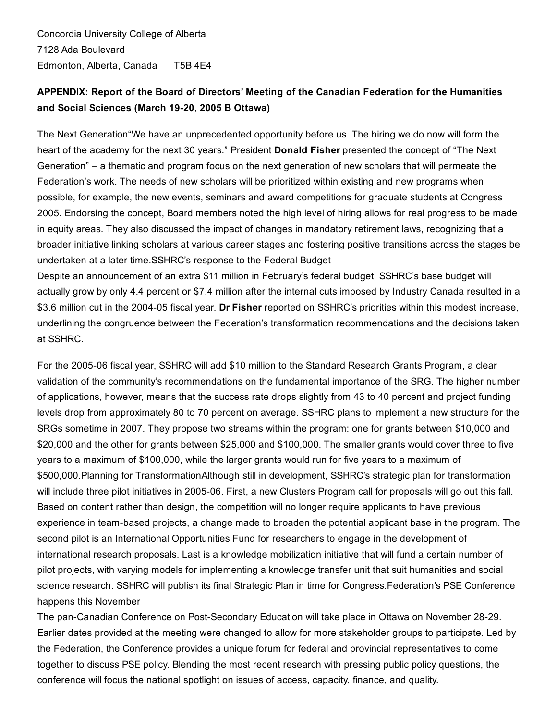Concordia University College of Alberta 7128 Ada Boulevard Edmonton, Alberta, Canada T5B 4E4

## APPENDIX: Report of the Board of Directors' Meeting of the Canadian Federation for the Humanities and Social Sciences (March 19-20, 2005 B Ottawa)

The Next Generation"We have an unprecedented opportunity before us. The hiring we do now will form the heart of the academy for the next 30 years." President Donald Fisher presented the concept of "The Next Generation" – a thematic and program focus on the next generation of new scholars that will permeate the Federation's work. The needs of new scholars will be prioritized within existing and new programs when possible, for example, the new events, seminars and award competitions for graduate students at Congress 2005. Endorsing the concept, Board members noted the high level of hiring allows for real progress to be made in equity areas. They also discussed the impact of changes in mandatory retirement laws, recognizing that a broader initiative linking scholars at various career stages and fostering positive transitions across the stages be undertaken at a later time.SSHRC's response to the Federal Budget

Despite an announcement of an extra \$11 million in February's federal budget, SSHRC's base budget will actually grow by only 4.4 percent or \$7.4 million after the internal cuts imposed by Industry Canada resulted in a \$3.6 million cut in the 2004-05 fiscal year. Dr Fisher reported on SSHRC's priorities within this modest increase, underlining the congruence between the Federation's transformation recommendations and the decisions taken at SSHRC.

For the 2005-06 fiscal year, SSHRC will add \$10 million to the Standard Research Grants Program, a clear validation of the community's recommendations on the fundamental importance of the SRG. The higher number of applications, however, means that the success rate drops slightly from 43 to 40 percent and project funding levels drop from approximately 80 to 70 percent on average. SSHRC plans to implement a new structure for the SRGs sometime in 2007. They propose two streams within the program: one for grants between \$10,000 and \$20,000 and the other for grants between \$25,000 and \$100,000. The smaller grants would cover three to five years to a maximum of \$100,000, while the larger grants would run for five years to a maximum of \$500,000.Planning for TransformationAlthough still in development, SSHRC's strategic plan for transformation will include three pilot initiatives in 2005-06. First, a new Clusters Program call for proposals will go out this fall. Based on content rather than design, the competition will no longer require applicants to have previous experience in team-based projects, a change made to broaden the potential applicant base in the program. The second pilot is an International Opportunities Fund for researchers to engage in the development of international research proposals. Last is a knowledge mobilization initiative that will fund a certain number of pilot projects, with varying models for implementing a knowledge transfer unit that suit humanities and social science research. SSHRC will publish its final Strategic Plan in time for Congress.Federation's PSE Conference happens this November

The pan-Canadian Conference on Post-Secondary Education will take place in Ottawa on November 28-29. Earlier dates provided at the meeting were changed to allow for more stakeholder groups to participate. Led by the Federation, the Conference provides a unique forum for federal and provincial representatives to come together to discuss PSE policy. Blending the most recent research with pressing public policy questions, the conference will focus the national spotlight on issues of access, capacity, finance, and quality.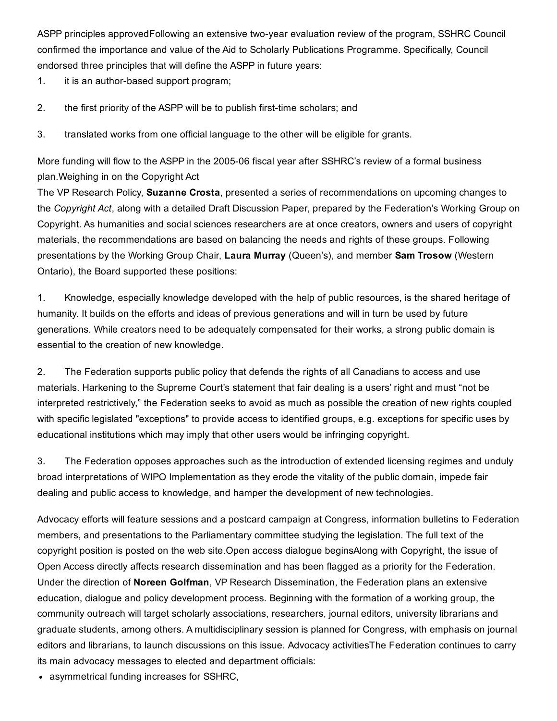ASPP principles approvedFollowing an extensive two-year evaluation review of the program, SSHRC Council confirmed the importance and value of the Aid to Scholarly Publications Programme. Specifically, Council endorsed three principles that will define the ASPP in future years:

- 1. it is an author-based support program;
- 2. the first priority of the ASPP will be to publish first-time scholars; and
- 3. translated works from one official language to the other will be eligible for grants.

More funding will flow to the ASPP in the 2005-06 fiscal year after SSHRC's review of a formal business plan.Weighing in on the Copyright Act

The VP Research Policy, **Suzanne Crosta**, presented a series of recommendations on upcoming changes to the *Copyright Act*, along with a detailed Draft Discussion Paper, prepared by the Federation's Working Group on Copyright. As humanities and social sciences researchers are at once creators, owners and users of copyright materials, the recommendations are based on balancing the needs and rights of these groups. Following presentations by the Working Group Chair, Laura Murray (Queen's), and member Sam Trosow (Western Ontario), the Board supported these positions:

1. Knowledge, especially knowledge developed with the help of public resources, is the shared heritage of humanity. It builds on the efforts and ideas of previous generations and will in turn be used by future generations. While creators need to be adequately compensated for their works, a strong public domain is essential to the creation of new knowledge.

2. The Federation supports public policy that defends the rights of all Canadians to access and use materials. Harkening to the Supreme Court's statement that fair dealing is a users' right and must "not be interpreted restrictively," the Federation seeks to avoid as much as possible the creation of new rights coupled with specific legislated "exceptions" to provide access to identified groups, e.g. exceptions for specific uses by educational institutions which may imply that other users would be infringing copyright.

3. The Federation opposes approaches such as the introduction of extended licensing regimes and unduly broad interpretations of WIPO Implementation as they erode the vitality of the public domain, impede fair dealing and public access to knowledge, and hamper the development of new technologies.

Advocacy efforts will feature sessions and a postcard campaign at Congress, information bulletins to Federation members, and presentations to the Parliamentary committee studying the legislation. The full text of the copyright position is posted on the web site.Open access dialogue beginsAlong with Copyright, the issue of Open Access directly affects research dissemination and has been flagged as a priority for the Federation. Under the direction of Noreen Golfman, VP Research Dissemination, the Federation plans an extensive education, dialogue and policy development process. Beginning with the formation of a working group, the community outreach will target scholarly associations, researchers, journal editors, university librarians and graduate students, among others. A multidisciplinary session is planned for Congress, with emphasis on journal editors and librarians, to launch discussions on this issue. Advocacy activitiesThe Federation continues to carry its main advocacy messages to elected and department officials:

asymmetrical funding increases for SSHRC,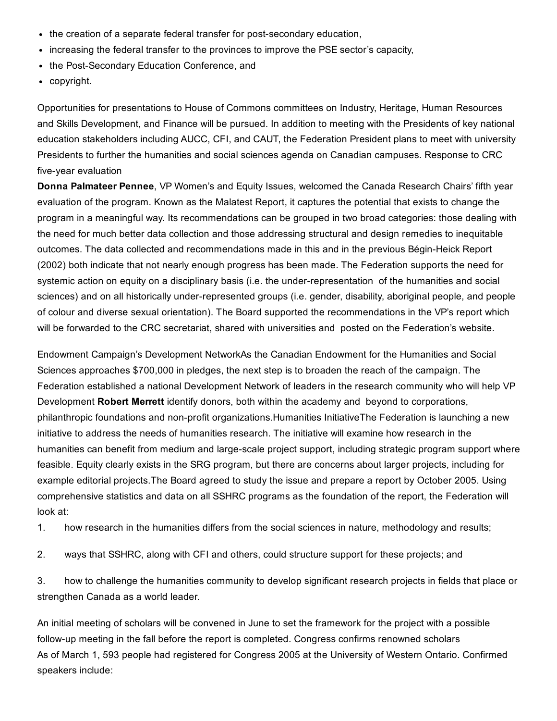- $\bullet$  the creation of a separate federal transfer for post-secondary education,
- increasing the federal transfer to the provinces to improve the PSE sector's capacity,
- the Post-Secondary Education Conference, and
- copyright.

Opportunities for presentations to House of Commons committees on Industry, Heritage, Human Resources and Skills Development, and Finance will be pursued. In addition to meeting with the Presidents of key national education stakeholders including AUCC, CFI, and CAUT, the Federation President plans to meet with university Presidents to further the humanities and social sciences agenda on Canadian campuses. Response to CRC five-year evaluation

Donna Palmateer Pennee, VP Women's and Equity Issues, welcomed the Canada Research Chairs' fifth year evaluation of the program. Known as the Malatest Report, it captures the potential that exists to change the program in a meaningful way. Its recommendations can be grouped in two broad categories: those dealing with the need for much better data collection and those addressing structural and design remedies to inequitable outcomes. The data collected and recommendations made in this and in the previous Bégin-Heick Report (2002) both indicate that not nearly enough progress has been made. The Federation supports the need for systemic action on equity on a disciplinary basis (i.e. the under-representation of the humanities and social sciences) and on all historically under-represented groups (i.e. gender, disability, aboriginal people, and people of colour and diverse sexual orientation). The Board supported the recommendations in the VP's report which will be forwarded to the CRC secretariat, shared with universities and posted on the Federation's website.

Endowment Campaign's Development NetworkAs the Canadian Endowment for the Humanities and Social Sciences approaches \$700,000 in pledges, the next step is to broaden the reach of the campaign. The Federation established a national Development Network of leaders in the research community who will help VP Development Robert Merrett identify donors, both within the academy and beyond to corporations, philanthropic foundations and non-profit organizations.Humanities InitiativeThe Federation is launching a new initiative to address the needs of humanities research. The initiative will examine how research in the humanities can benefit from medium and large-scale project support, including strategic program support where feasible. Equity clearly exists in the SRG program, but there are concerns about larger projects, including for example editorial projects.The Board agreed to study the issue and prepare a report by October 2005. Using comprehensive statistics and data on all SSHRC programs as the foundation of the report, the Federation will look at:

1. how research in the humanities differs from the social sciences in nature, methodology and results;

2. ways that SSHRC, along with CFI and others, could structure support for these projects; and

3. how to challenge the humanities community to develop significant research projects in fields that place or strengthen Canada as a world leader.

An initial meeting of scholars will be convened in June to set the framework for the project with a possible follow-up meeting in the fall before the report is completed. Congress confirms renowned scholars As of March 1, 593 people had registered for Congress 2005 at the University of Western Ontario. Confirmed speakers include: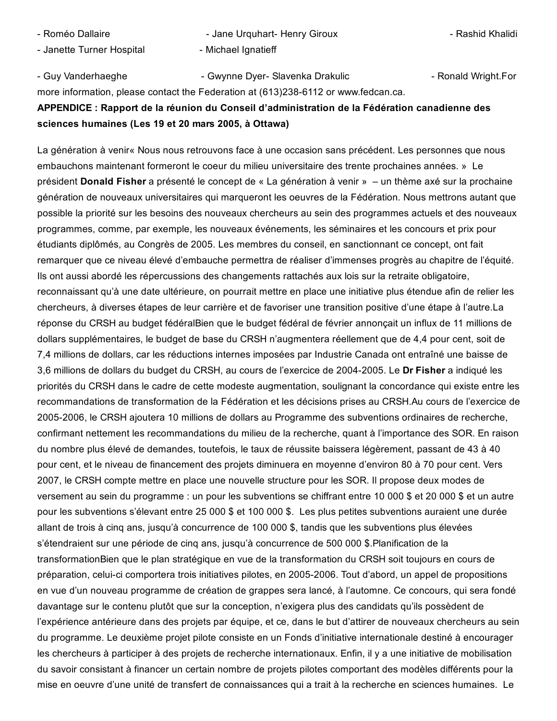- 
- Janette Turner Hospital **Michael Ignatieff**
- Roméo Dallaire **Charlaire 19 Ann am Amaz** Jane Urquhart- Henry Giroux **Machinart Americane Annual Analidi** Rashid Khalidi

- Guy Vanderhaeghe **South Americ Communist Communist Communist Communist Communist Communist Communist Communist Communist Communist Communist Communist Communist Communist Communist Communist Communist Communist Communist** more information, please contact the Federation at (613)238-6112 or www.fedcan.ca. APPENDICE : Rapport de la réunion du Conseil d'administration de la Fédération canadienne des sciences humaines (Les 19 et 20 mars 2005, à Ottawa)

La génération à venir« Nous nous retrouvons face à une occasion sans précédent. Les personnes que nous embauchons maintenant formeront le coeur du milieu universitaire des trente prochaines années. » Le président Donald Fisher a présenté le concept de « La génération à venir » – un thème axé sur la prochaine génération de nouveaux universitaires qui marqueront les oeuvres de la Fédération. Nous mettrons autant que possible la priorité sur les besoins des nouveaux chercheurs au sein des programmes actuels et des nouveaux programmes, comme, par exemple, les nouveaux événements, les séminaires et les concours et prix pour étudiants diplômés, au Congrès de 2005. Les membres du conseil, en sanctionnant ce concept, ont fait remarquer que ce niveau élevé d'embauche permettra de réaliser d'immenses progrès au chapitre de l'équité. Ils ont aussi abordé les répercussions des changements rattachés aux lois sur la retraite obligatoire, reconnaissant qu'à une date ultérieure, on pourrait mettre en place une initiative plus étendue afin de relier les chercheurs, à diverses étapes de leur carrière et de favoriser une transition positive d'une étape à l'autre.La réponse du CRSH au budget fédéralBien que le budget fédéral de février annonçait un influx de 11 millions de dollars supplémentaires, le budget de base du CRSH n'augmentera réellement que de 4,4 pour cent, soit de 7,4 millions de dollars, car les réductions internes imposées par Industrie Canada ont entraîné une baisse de 3.6 millions de dollars du budget du CRSH, au cours de l'exercice de 2004-2005. Le Dr Fisher a indiqué les priorités du CRSH dans le cadre de cette modeste augmentation, soulignant la concordance qui existe entre les recommandations de transformation de la Fédération et les décisions prises au CRSH.Au cours de l'exercice de 20052006, le CRSH ajoutera 10 millions de dollars au Programme des subventions ordinaires de recherche, confirmant nettement les recommandations du milieu de la recherche, quant à l'importance des SOR. En raison du nombre plus élevé de demandes, toutefois, le taux de réussite baissera légèrement, passant de 43 à 40 pour cent, et le niveau de financement des projets diminuera en moyenne d'environ 80 à 70 pour cent. Vers 2007, le CRSH compte mettre en place une nouvelle structure pour les SOR. Il propose deux modes de versement au sein du programme : un pour les subventions se chiffrant entre 10 000 \$ et 20 000 \$ et un autre pour les subventions s'élevant entre 25 000 \$ et 100 000 \$. Les plus petites subventions auraient une durée allant de trois à cinq ans, jusqu'à concurrence de 100 000 \$, tandis que les subventions plus élevées s'étendraient sur une période de cinq ans, jusqu'à concurrence de 500 000 \$.Planification de la transformationBien que le plan stratégique en vue de la transformation du CRSH soit toujours en cours de préparation, celui-ci comportera trois initiatives pilotes, en 2005-2006. Tout d'abord, un appel de propositions en vue d'un nouveau programme de création de grappes sera lancé, à l'automne. Ce concours, qui sera fondé davantage sur le contenu plutôt que sur la conception, n'exigera plus des candidats qu'ils possèdent de l'expérience antérieure dans des projets par équipe, et ce, dans le but d'attirer de nouveaux chercheurs au sein du programme. Le deuxième projet pilote consiste en un Fonds d'initiative internationale destiné à encourager les chercheurs à participer à des projets de recherche internationaux. Enfin, il y a une initiative de mobilisation du savoir consistant à financer un certain nombre de projets pilotes comportant des modèles différents pour la mise en oeuvre d'une unité de transfert de connaissances qui a trait à la recherche en sciences humaines. Le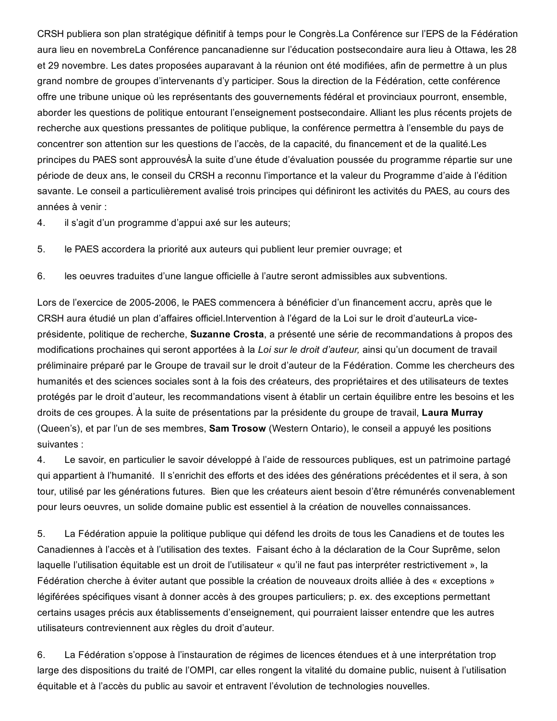CRSH publiera son plan stratégique définitif à temps pour le Congrès.La Conférence sur l'EPS de la Fédération aura lieu en novembreLa Conférence pancanadienne sur l'éducation postsecondaire aura lieu à Ottawa, les 28 et 29 novembre. Les dates proposées auparavant à la réunion ont été modifiées, afin de permettre à un plus grand nombre de groupes d'intervenants d'y participer. Sous la direction de la Fédération, cette conférence offre une tribune unique où les représentants des gouvernements fédéral et provinciaux pourront, ensemble, aborder les questions de politique entourant l'enseignement postsecondaire. Alliant les plus récents projets de recherche aux questions pressantes de politique publique, la conférence permettra à l'ensemble du pays de concentrer son attention sur les questions de l'accès, de la capacité, du financement et de la qualité.Les principes du PAES sont approuvésÀ la suite d'une étude d'évaluation poussée du programme répartie sur une période de deux ans, le conseil du CRSH a reconnu l'importance et la valeur du Programme d'aide à l'édition savante. Le conseil a particulièrement avalisé trois principes qui définiront les activités du PAES, au cours des années à venir :

- 4. il s'agit d'un programme d'appui axé sur les auteurs;
- 5. le PAES accordera la priorité aux auteurs qui publient leur premier ouvrage; et
- 6. les oeuvres traduites d'une langue officielle à l'autre seront admissibles aux subventions.

Lors de l'exercice de 2005-2006, le PAES commencera à bénéficier d'un financement accru, après que le CRSH aura étudié un plan d'affaires officiel.Intervention à l'égard de la Loi sur le droit d'auteurLa viceprésidente, politique de recherche, Suzanne Crosta, a présenté une série de recommandations à propos des modifications prochaines qui seront apportées à la *Loi sur le droit d'auteur,* ainsi qu'un document de travail préliminaire préparé par le Groupe de travail sur le droit d'auteur de la Fédération. Comme les chercheurs des humanités et des sciences sociales sont à la fois des créateurs, des propriétaires et des utilisateurs de textes protégés par le droit d'auteur, les recommandations visent à établir un certain équilibre entre les besoins et les droits de ces groupes. À la suite de présentations par la présidente du groupe de travail, Laura Murray (Queen's), et par l'un de ses membres, Sam Trosow (Western Ontario), le conseil a appuyé les positions suivantes :

4. Le savoir, en particulier le savoir développé à l'aide de ressources publiques, est un patrimoine partagé qui appartient à l'humanité. Il s'enrichit des efforts et des idées des générations précédentes et il sera, à son tour, utilisé par les générations futures. Bien que les créateurs aient besoin d'être rémunérés convenablement pour leurs oeuvres, un solide domaine public est essentiel à la création de nouvelles connaissances.

5. La Fédération appuie la politique publique qui défend les droits de tous les Canadiens et de toutes les Canadiennes à l'accès et à l'utilisation des textes. Faisant écho à la déclaration de la Cour Suprême, selon laquelle l'utilisation équitable est un droit de l'utilisateur « qu'il ne faut pas interpréter restrictivement », la Fédération cherche à éviter autant que possible la création de nouveaux droits alliée à des « exceptions » légiférées spécifiques visant à donner accès à des groupes particuliers; p. ex. des exceptions permettant certains usages précis aux établissements d'enseignement, qui pourraient laisser entendre que les autres utilisateurs contreviennent aux règles du droit d'auteur.

6. La Fédération s'oppose à l'instauration de régimes de licences étendues et à une interprétation trop large des dispositions du traité de l'OMPI, car elles rongent la vitalité du domaine public, nuisent à l'utilisation équitable et à l'accès du public au savoir et entravent l'évolution de technologies nouvelles.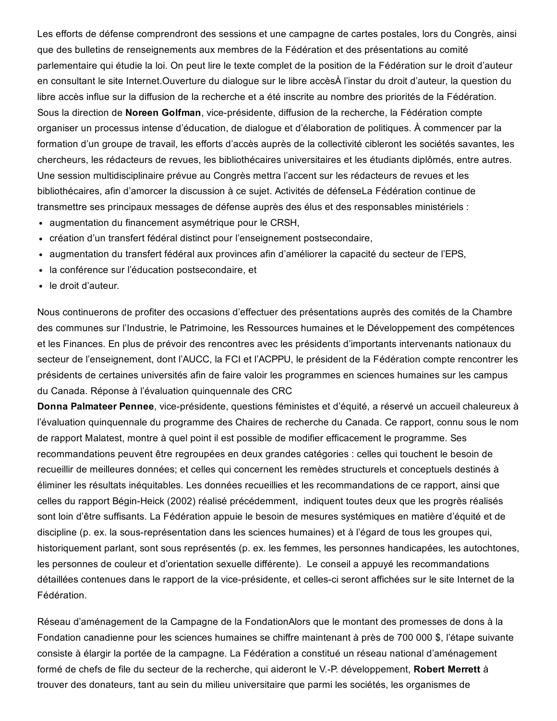Les efforts de défense comprendront des sessions et une campagne de cartes postales, lors du Congrès, ainsi que des bulletins de renseignements aux membres de la Fédération et des présentations au comité parlementaire qui étudie la loi. On peut lire le texte complet de la position de la Fédération sur le droit d'auteur en consultant le site Internet.Ouverture du dialogue sur le libre accèsÀ l'instar du droit d'auteur, la question du libre accès influe sur la diffusion de la recherche et a été inscrite au nombre des priorités de la Fédération. Sous la direction de Noreen Golfman, vice-présidente, diffusion de la recherche, la Fédération compte organiser un processus intense d'éducation, de dialogue et d'élaboration de politiques. À commencer par la formation d'un groupe de travail, les efforts d'accès auprès de la collectivité cibleront les sociétés savantes, les chercheurs, les rédacteurs de revues, les bibliothécaires universitaires et les étudiants diplômés, entre autres. Une session multidisciplinaire prévue au Congrès mettra l'accent sur les rédacteurs de revues et les bibliothécaires, afin d'amorcer la discussion à ce sujet. Activités de défenseLa Fédération continue de transmettre ses principaux messages de défense auprès des élus et des responsables ministériels :

- augmentation du financement asymétrique pour le CRSH,
- création d'un transfert fédéral distinct pour l'enseignement postsecondaire,
- augmentation du transfert fédéral aux provinces afin d'améliorer la capacité du secteur de l'EPS,
- la conférence sur l'éducation postsecondaire, et
- le droit d'auteur.

Nous continuerons de profiter des occasions d'effectuer des présentations auprès des comités de la Chambre des communes sur l'Industrie, le Patrimoine, les Ressources humaines et le Développement des compétences et les Finances. En plus de prévoir des rencontres avec les présidents d'importants intervenants nationaux du secteur de l'enseignement, dont l'AUCC, la FCI et l'ACPPU, le président de la Fédération compte rencontrer les présidents de certaines universités afin de faire valoir les programmes en sciences humaines sur les campus du Canada. Réponse à l'évaluation quinquennale des CRC

Donna Palmateer Pennee, vice-présidente, questions féministes et d'équité, a réservé un accueil chaleureux à l'évaluation quinquennale du programme des Chaires de recherche du Canada. Ce rapport, connu sous le nom de rapport Malatest, montre à quel point il est possible de modifier efficacement le programme. Ses recommandations peuvent être regroupées en deux grandes catégories : celles qui touchent le besoin de recueillir de meilleures données; et celles qui concernent les remèdes structurels et conceptuels destinés à éliminer les résultats inéquitables. Les données recueillies et les recommandations de ce rapport, ainsi que celles du rapport Bégin-Heick (2002) réalisé précédemment, indiquent toutes deux que les progrès réalisés sont loin d'être suffisants. La Fédération appuie le besoin de mesures systémiques en matière d'équité et de discipline (p. ex. la sous-représentation dans les sciences humaines) et à l'égard de tous les groupes qui, historiquement parlant, sont sous représentés (p. ex. les femmes, les personnes handicapées, les autochtones, les personnes de couleur et d'orientation sexuelle différente). Le conseil a appuyé les recommandations détaillées contenues dans le rapport de la vice-présidente, et celles-ci seront affichées sur le site Internet de la Fédération.

Réseau d'aménagement de la Campagne de la FondationAlors que le montant des promesses de dons à la Fondation canadienne pour les sciences humaines se chiffre maintenant à près de 700 000 \$, l'étape suivante consiste à élargir la portée de la campagne. La Fédération a constitué un réseau national d'aménagement formé de chefs de file du secteur de la recherche, qui aideront le V.-P. développement, Robert Merrett à trouver des donateurs, tant au sein du milieu universitaire que parmi les sociétés, les organismes de